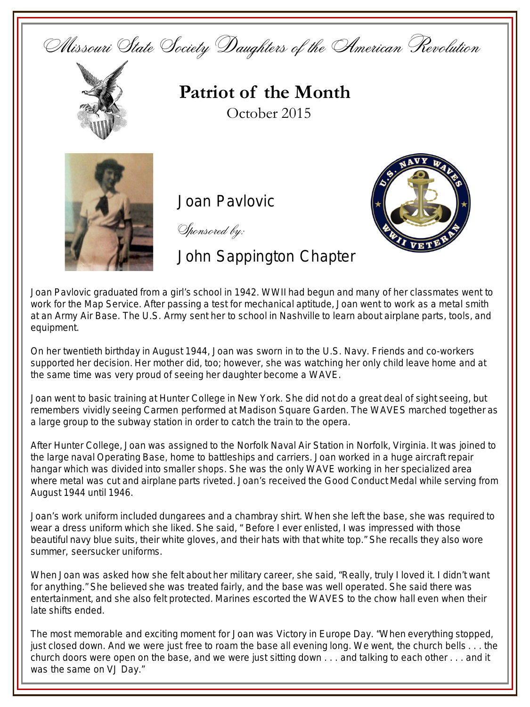Missouri State Society Daughters of the American Revolution



**Patriot of the Month** October 2015



Joan Pavlovic

Sponsored by:

John Sappington Chapter



Joan Pavlovic graduated from a girl's school in 1942. WWII had begun and many of her classmates went to work for the Map Service. After passing a test for mechanical aptitude, Joan went to work as a metal smith at an Army Air Base. The U.S. Army sent her to school in Nashville to learn about airplane parts, tools, and equipment.

On her twentieth birthday in August 1944, Joan was sworn in to the U.S. Navy. Friends and co-workers supported her decision. Her mother did, too; however, she was watching her only child leave home and at the same time was very proud of seeing her daughter become a WAVE.

Joan went to basic training at Hunter College in New York. She did not do a great deal of sight seeing, but remembers vividly seeing Carmen performed at Madison Square Garden. The WAVES marched together as a large group to the subway station in order to catch the train to the opera.

After Hunter College, Joan was assigned to the Norfolk Naval Air Station in Norfolk, Virginia. It was joined to the large naval Operating Base, home to battleships and carriers. Joan worked in a huge aircraft repair hangar which was divided into smaller shops. She was the only WAVE working in her specialized area where metal was cut and airplane parts riveted. Joan's received the Good Conduct Medal while serving from August 1944 until 1946.

Joan's work uniform included dungarees and a chambray shirt. When she left the base, she was required to wear a dress uniform which she liked. She said, " Before I ever enlisted, I was impressed with those beautiful navy blue suits, their white gloves, and their hats with that white top." She recalls they also wore summer, seersucker uniforms.

When Joan was asked how she felt about her military career, she said, "Really, truly I loved it. I didn't want for anything." She believed she was treated fairly, and the base was well operated. She said there was entertainment, and she also felt protected. Marines escorted the WAVES to the chow hall even when their late shifts ended.

The most memorable and exciting moment for Joan was Victory in Europe Day. "When everything stopped, just closed down. And we were just free to roam the base all evening long. We went, the church bells . . . the church doors were open on the base, and we were just sitting down . . . and talking to each other . . . and it was the same on VJ Day."